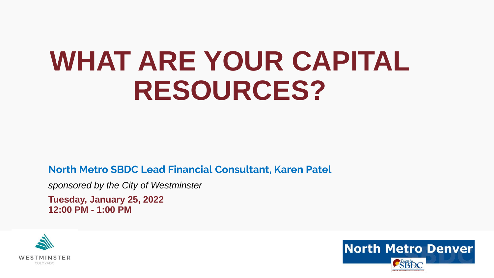## **WHAT ARE YOUR CAPITAL RESOURCES?**

**North Metro SBDC Lead Financial Consultant, Karen Patel**

*sponsored by the City of Westminster*

**Tuesday, January 25, 2022 12:00 PM - 1:00 PM**



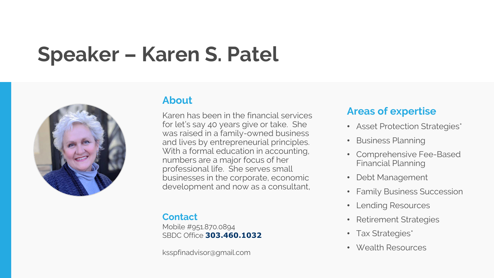### Speaker – Karen S. Patel



#### **About**

Karen has been in the financial services for let's say 40 years give or take. She was raised in a family-owned business and lives by entrepreneurial principles. With a formal education in accounting, numbers are a major focus of her professional life. She serves small businesses in the corporate, economic development and now as a consultant,

#### **Contact**

Mobile #951.870.0894 SBDC Office **303.460.1032**

ksspfinadvisor@gmail.com

#### **Areas of expertise**

- Asset Protection Strategies\*
- Business Planning
- Comprehensive Fee-Based Financial Planning
- Debt Management
- Family Business Succession
- Lending Resources
- Retirement Strategies
- Tax Strategies\*
- Wealth Resources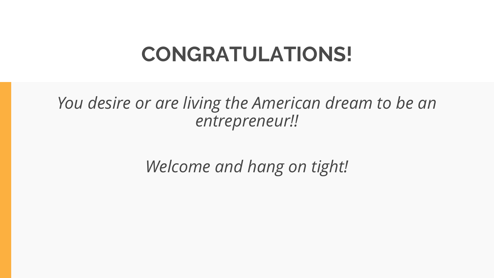### CONGRATULATIONS!

*You desire or are living the American dream to be an entrepreneur!!*

*Welcome and hang on tight!*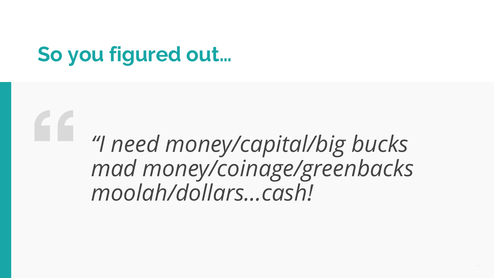### **So you figured out…**

### *"I need money/capital/big bucks mad money/coinage/greenbacks moolah/dollars…cash!*

*.*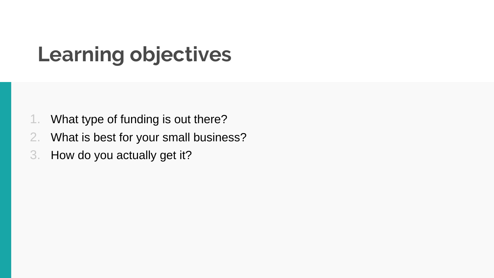### Learning objectives

- 1. What type of funding is out there?
- 2. What is best for your small business?
- 3. How do you actually get it?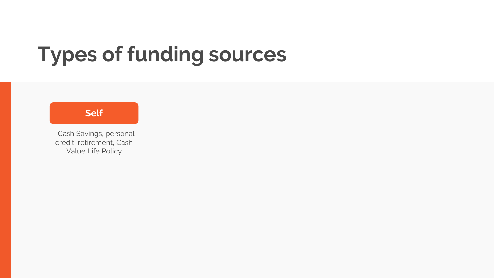#### **Self**

Cash Savings, personal credit, retirement, Cash Value Life Policy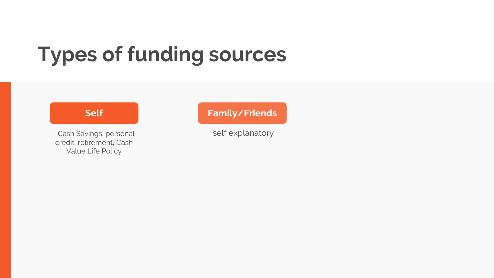#### **Self**

Cash Savings, personal credit, retirement, Cash Value Life Policy

#### **Family/Friends**

self explanatory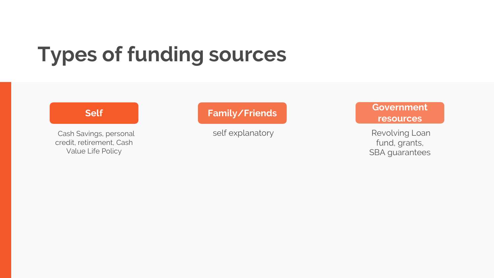#### **Self**

Cash Savings, personal credit, retirement, Cash Value Life Policy

#### **Family/Friends**

self explanatory

#### **Government resources**

Revolving Loan fund, grants, SBA guarantees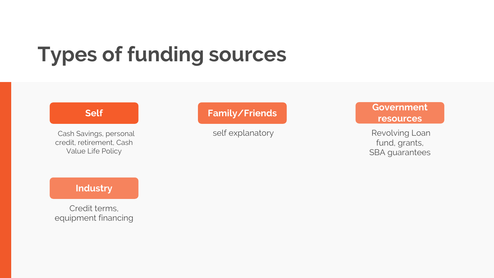#### **Self**

Cash Savings, personal credit, retirement, Cash Value Life Policy

#### **Family/Friends**

self explanatory

#### **Government resources**

Revolving Loan fund, grants, SBA guarantees

#### **Industry**

Credit terms, equipment financing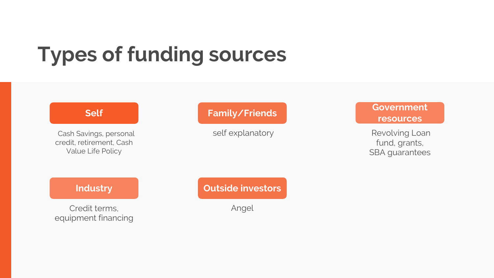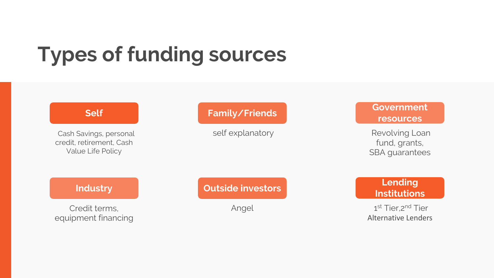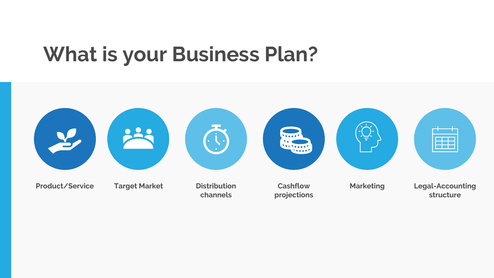### What is your Business Plan?

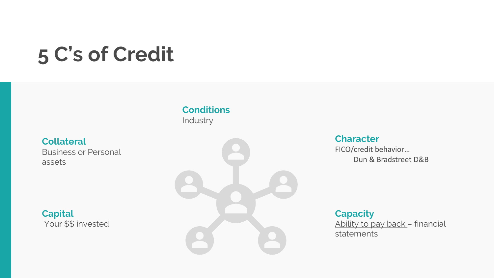### 5 C's of Credit

**Conditions**  Industry

**Collateral** Business or Personal assets

**Capital** Your \$\$ invested



#### **Character**

FICO/credit behavior… Dun & Bradstreet D&B

**Capacity** Ability to pay back – financial statements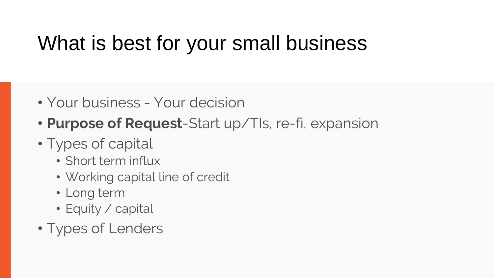### What is best for your small business

- Your business Your decision
- **Purpose of Request**-Start up/TIs, re-fi, expansion
- Types of capital
	- Short term influx
	- Working capital line of credit
	- Long term
	- Equity / capital
- Types of Lenders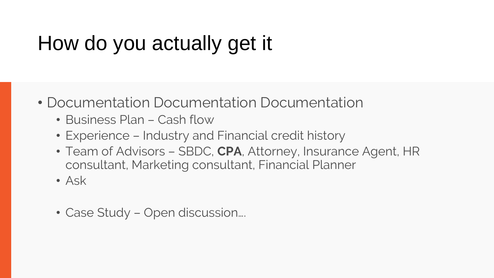### How do you actually get it

- Documentation Documentation Documentation
	- Business Plan Cash flow
	- Experience Industry and Financial credit history
	- Team of Advisors SBDC, **CPA**, Attorney, Insurance Agent, HR consultant, Marketing consultant, Financial Planner
	- Ask
	- Case Study Open discussion….